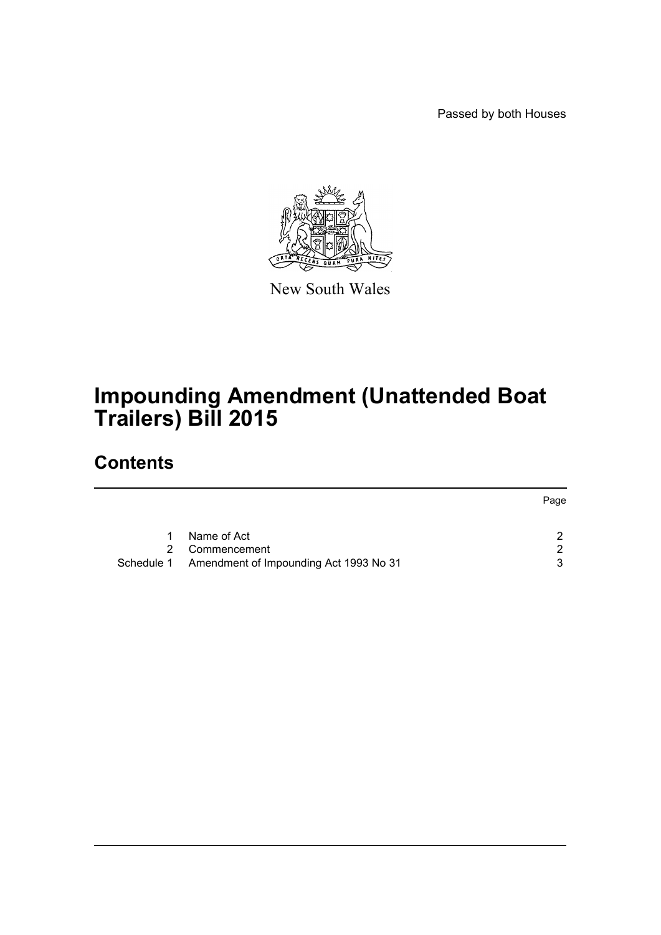Passed by both Houses



New South Wales

# **Impounding Amendment (Unattended Boat Trailers) Bill 2015**

## **Contents**

|                                                   | Page |
|---------------------------------------------------|------|
|                                                   |      |
| Name of Act                                       |      |
| 2 Commencement                                    | ົ    |
| Schedule 1 Amendment of Impounding Act 1993 No 31 | 3    |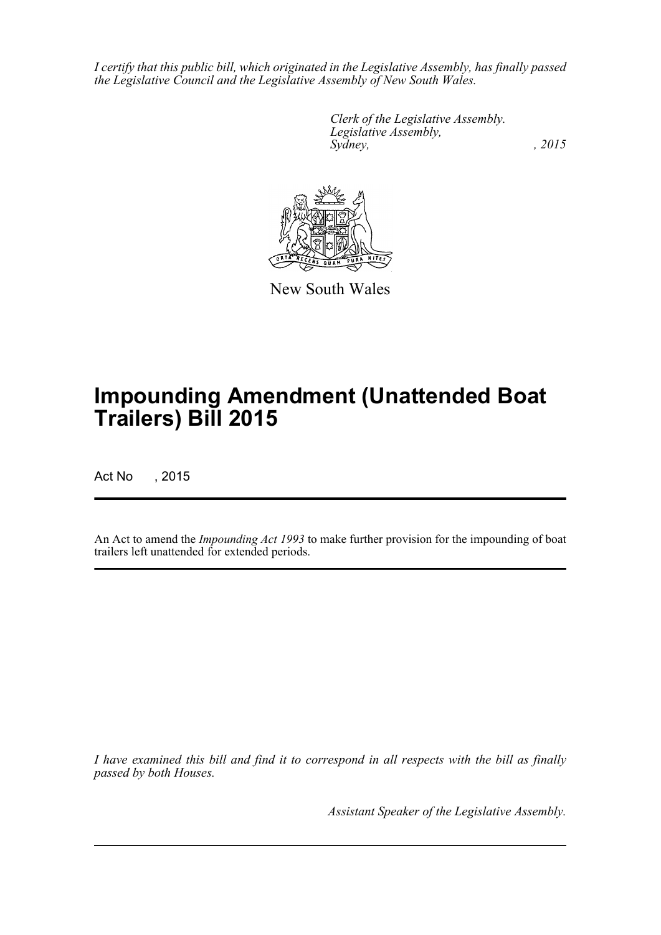*I certify that this public bill, which originated in the Legislative Assembly, has finally passed the Legislative Council and the Legislative Assembly of New South Wales.*

> *Clerk of the Legislative Assembly. Legislative Assembly, Sydney,* , 2015



New South Wales

# **Impounding Amendment (Unattended Boat Trailers) Bill 2015**

Act No , 2015

An Act to amend the *Impounding Act 1993* to make further provision for the impounding of boat trailers left unattended for extended periods.

*I have examined this bill and find it to correspond in all respects with the bill as finally passed by both Houses.*

*Assistant Speaker of the Legislative Assembly.*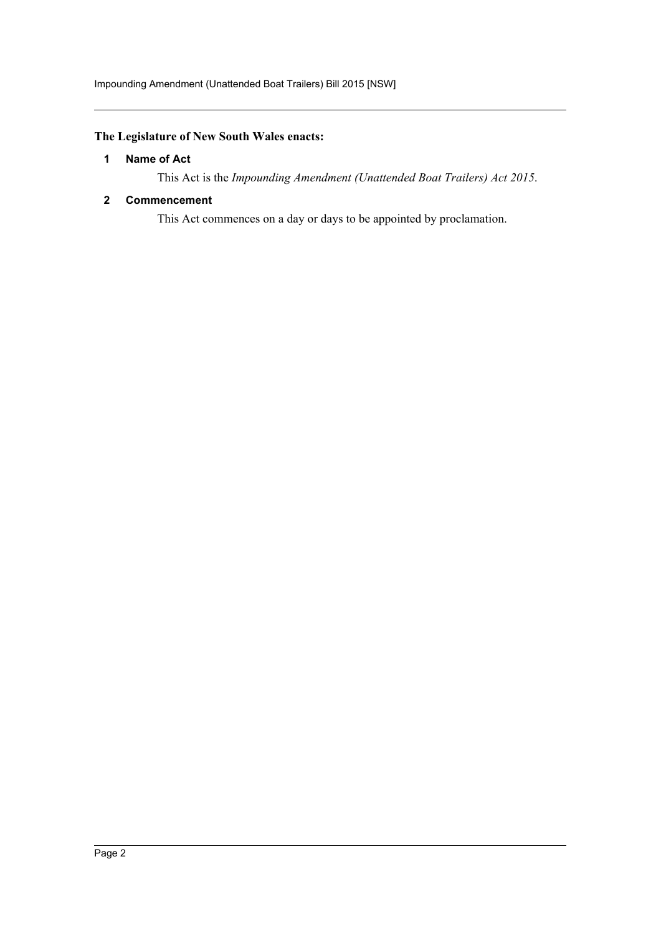#### <span id="page-2-0"></span>**The Legislature of New South Wales enacts:**

#### **1 Name of Act**

This Act is the *Impounding Amendment (Unattended Boat Trailers) Act 2015*.

#### <span id="page-2-1"></span>**2 Commencement**

This Act commences on a day or days to be appointed by proclamation.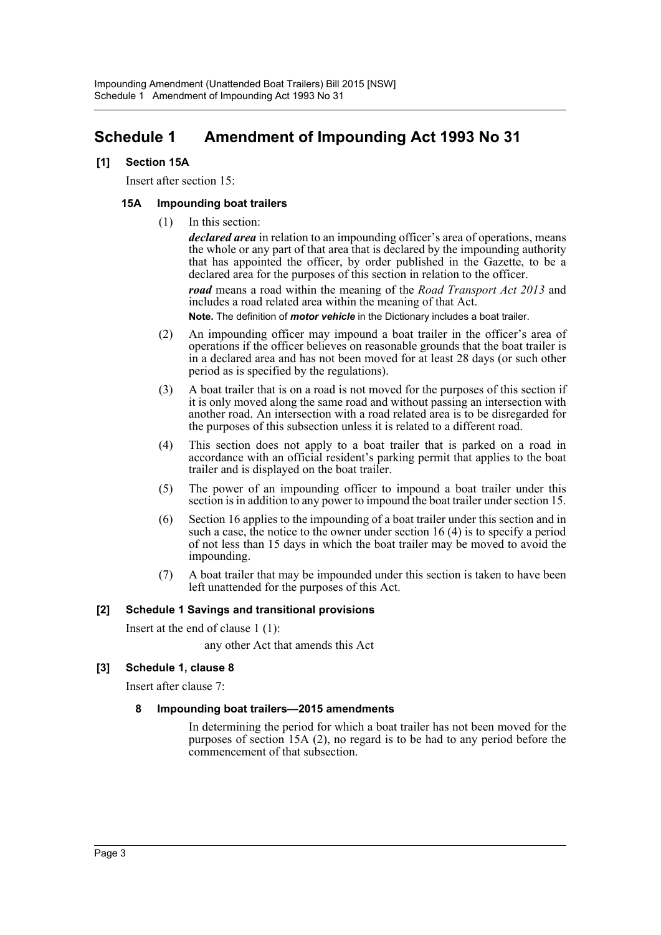### <span id="page-3-0"></span>**Schedule 1 Amendment of Impounding Act 1993 No 31**

#### **[1] Section 15A**

Insert after section 15:

#### **15A Impounding boat trailers**

(1) In this section:

*declared area* in relation to an impounding officer's area of operations, means the whole or any part of that area that is declared by the impounding authority that has appointed the officer, by order published in the Gazette, to be a declared area for the purposes of this section in relation to the officer.

*road* means a road within the meaning of the *Road Transport Act 2013* and includes a road related area within the meaning of that Act.

**Note.** The definition of *motor vehicle* in the Dictionary includes a boat trailer.

- (2) An impounding officer may impound a boat trailer in the officer's area of operations if the officer believes on reasonable grounds that the boat trailer is in a declared area and has not been moved for at least 28 days (or such other period as is specified by the regulations).
- (3) A boat trailer that is on a road is not moved for the purposes of this section if it is only moved along the same road and without passing an intersection with another road. An intersection with a road related area is to be disregarded for the purposes of this subsection unless it is related to a different road.
- (4) This section does not apply to a boat trailer that is parked on a road in accordance with an official resident's parking permit that applies to the boat trailer and is displayed on the boat trailer.
- (5) The power of an impounding officer to impound a boat trailer under this section is in addition to any power to impound the boat trailer under section 15.
- (6) Section 16 applies to the impounding of a boat trailer under this section and in such a case, the notice to the owner under section 16 (4) is to specify a period of not less than 15 days in which the boat trailer may be moved to avoid the impounding.
- (7) A boat trailer that may be impounded under this section is taken to have been left unattended for the purposes of this Act.

#### **[2] Schedule 1 Savings and transitional provisions**

Insert at the end of clause 1 (1):

any other Act that amends this Act

#### **[3] Schedule 1, clause 8**

Insert after clause 7:

#### **8 Impounding boat trailers—2015 amendments**

In determining the period for which a boat trailer has not been moved for the purposes of section 15A (2), no regard is to be had to any period before the commencement of that subsection.